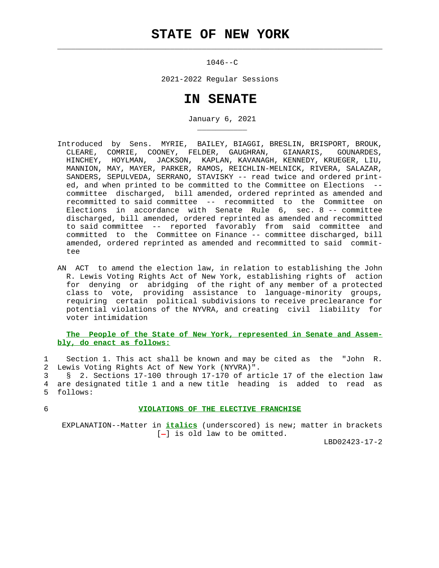## **STATE OF NEW YORK**

 $\mathcal{L}_\text{max} = \frac{1}{2} \sum_{i=1}^{n} \frac{1}{2} \sum_{i=1}^{n} \frac{1}{2} \sum_{i=1}^{n} \frac{1}{2} \sum_{i=1}^{n} \frac{1}{2} \sum_{i=1}^{n} \frac{1}{2} \sum_{i=1}^{n} \frac{1}{2} \sum_{i=1}^{n} \frac{1}{2} \sum_{i=1}^{n} \frac{1}{2} \sum_{i=1}^{n} \frac{1}{2} \sum_{i=1}^{n} \frac{1}{2} \sum_{i=1}^{n} \frac{1}{2} \sum_{i=1}^{n} \frac{1$ 

\_\_\_\_\_\_\_\_\_\_\_

 $1046 - -C$ 

2021-2022 Regular Sessions

## **IN SENATE**

January 6, 2021

- Introduced by Sens. MYRIE, BAILEY, BIAGGI, BRESLIN, BRISPORT, BROUK, CLEARE, COMRIE, COONEY, FELDER, GAUGHRAN, GIANARIS, GOUNARDES, HINCHEY, HOYLMAN, JACKSON, KAPLAN, KAVANAGH, KENNEDY, KRUEGER, LIU, MANNION, MAY, MAYER, PARKER, RAMOS, REICHLIN-MELNICK, RIVERA, SALAZAR, SANDERS, SEPULVEDA, SERRANO, STAVISKY -- read twice and ordered print ed, and when printed to be committed to the Committee on Elections - committee discharged, bill amended, ordered reprinted as amended and recommitted to said committee -- recommitted to the Committee on Elections in accordance with Senate Rule 6, sec. 8 -- committee discharged, bill amended, ordered reprinted as amended and recommitted to said committee -- reported favorably from said committee and committed to the Committee on Finance -- committee discharged, bill amended, ordered reprinted as amended and recommitted to said commit tee
- AN ACT to amend the election law, in relation to establishing the John R. Lewis Voting Rights Act of New York, establishing rights of action for denying or abridging of the right of any member of a protected class to vote, providing assistance to language-minority groups, requiring certain political subdivisions to receive preclearance for potential violations of the NYVRA, and creating civil liability for voter intimidation

## **The People of the State of New York, represented in Senate and Assem bly, do enact as follows:**

 1 Section 1. This act shall be known and may be cited as the "John R. 2 Lewis Voting Rights Act of New York (NYVRA)".

 3 § 2. Sections 17-100 through 17-170 of article 17 of the election law 4 are designated title 1 and a new title heading is added to read as 5 follows:

## 6 **VIOLATIONS OF THE ELECTIVE FRANCHISE**

 EXPLANATION--Matter in **italics** (underscored) is new; matter in brackets  $[-]$  is old law to be omitted.

LBD02423-17-2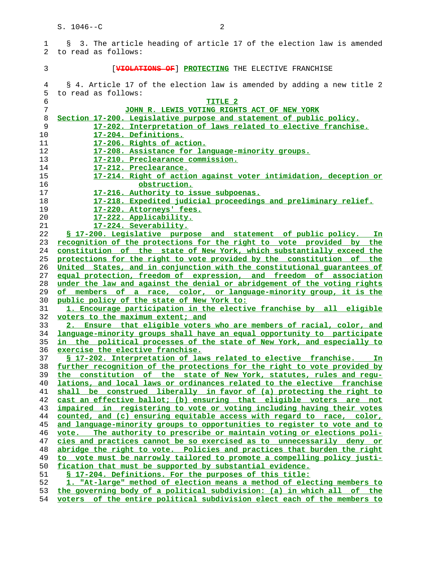1 § 3. The article heading of article 17 of the election law is amended 2 to read as follows: 3 [**VIOLATIONS OF**] **PROTECTING** THE ELECTIVE FRANCHISE 4 § 4. Article 17 of the election law is amended by adding a new title 2 5 to read as follows: **TITLE 2 JOHN R. LEWIS VOTING RIGHTS ACT OF NEW YORK Section 17-200. Legislative purpose and statement of public policy. 17-202. Interpretation of laws related to elective franchise. 17-204. Definitions. 17-206. Rights of action. 17-208. Assistance for language-minority groups. 17-210. Preclearance commission. 17-212. Preclearance. 17-214. Right of action against voter intimidation, deception or obstruction. 17-216. Authority to issue subpoenas. 17-218. Expedited judicial proceedings and preliminary relief. 17-220. Attorneys' fees. 17-222. Applicability. 17-224. Severability. § 17-200. Legislative purpose and statement of public policy. In recognition of the protections for the right to vote provided by the constitution of the state of New York, which substantially exceed the protections for the right to vote provided by the constitution of the United States, and in conjunction with the constitutional guarantees of equal protection, freedom of expression, and freedom of association under the law and against the denial or abridgement of the voting rights of members of a race, color, or language-minority group, it is the public policy of the state of New York to: 1. Encourage participation in the elective franchise by all eligible voters to the maximum extent; and 2. Ensure that eligible voters who are members of racial, color, and language-minority groups shall have an equal opportunity to participate in the political processes of the state of New York, and especially to exercise the elective franchise. § 17-202. Interpretation of laws related to elective franchise. In further recognition of the protections for the right to vote provided by the constitution of the state of New York, statutes, rules and regu- lations, and local laws or ordinances related to the elective franchise shall be construed liberally in favor of (a) protecting the right to cast an effective ballot; (b) ensuring that eligible voters are not impaired in registering to vote or voting including having their votes counted, and (c) ensuring equitable access with regard to race, color, and language-minority groups to opportunities to register to vote and to vote. The authority to prescribe or maintain voting or elections poli- cies and practices cannot be so exercised as to unnecessarily deny or abridge the right to vote. Policies and practices that burden the right to vote must be narrowly tailored to promote a compelling policy justi- fication that must be supported by substantial evidence. § 17-204. Definitions. For the purposes of this title: 1. "At-large" method of election means a method of electing members to the governing body of a political subdivision: (a) in which all of the**

**voters of the entire political subdivision elect each of the members to**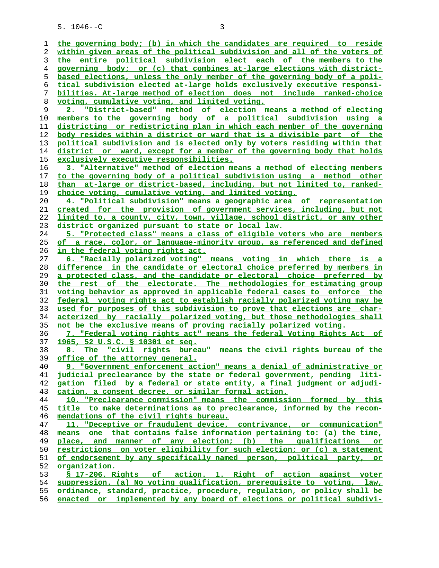**the governing body; (b) in which the candidates are required to reside within given areas of the political subdivision and all of the voters of the entire political subdivision elect each of the members to the governing body; or (c) that combines at-large elections with district- based elections, unless the only member of the governing body of a poli- tical subdivision elected at-large holds exclusively executive responsi- bilities. At-large method of election does not include ranked-choice voting, cumulative voting, and limited voting. 2. "District-based" method of election means a method of electing members to the governing body of a political subdivision using a districting or redistricting plan in which each member of the governing body resides within a district or ward that is a divisible part of the political subdivision and is elected only by voters residing within that district or ward, except for a member of the governing body that holds exclusively executive responsibilities. 3. "Alternative" method of election means a method of electing members to the governing body of a political subdivision using a method other than at-large or district-based, including, but not limited to, ranked- choice voting, cumulative voting, and limited voting. 4. "Political subdivision" means a geographic area of representation created for the provision of government services, including, but not limited to, a county, city, town, village, school district, or any other district organized pursuant to state or local law. 5. "Protected class" means a class of eligible voters who are members of a race, color, or language-minority group, as referenced and defined in the federal voting rights act. 6. "Racially polarized voting" means voting in which there is a difference in the candidate or electoral choice preferred by members in a protected class, and the candidate or electoral choice preferred by the rest of the electorate. The methodologies for estimating group voting behavior as approved in applicable federal cases to enforce the federal voting rights act to establish racially polarized voting may be used for purposes of this subdivision to prove that elections are char- acterized by racially polarized voting, but those methodologies shall not be the exclusive means of proving racially polarized voting. 7. "Federal voting rights act" means the federal Voting Rights Act of 1965, 52 U.S.C. § 10301 et seq. 8. The "civil rights bureau" means the civil rights bureau of the office of the attorney general. 9. "Government enforcement action" means a denial of administrative or judicial preclearance by the state or federal government, pending liti- gation filed by a federal or state entity, a final judgment or adjudi- cation, a consent decree, or similar formal action. 10. "Preclearance commission" means the commission formed by this title to make determinations as to preclearance, informed by the recom- mendations of the civil rights bureau. 11. "Deceptive or fraudulent device, contrivance, or communication" means one that contains false information pertaining to: (a) the time, place, and manner of any election; (b) the qualifications or restrictions on voter eligibility for such election; or (c) a statement of endorsement by any specifically named person, political party, or organization. § 17-206. Rights of action. 1. Right of action against voter suppression. (a) No voting qualification, prerequisite to voting, law, ordinance, standard, practice, procedure, regulation, or policy shall be**

**enacted or implemented by any board of elections or political subdivi-**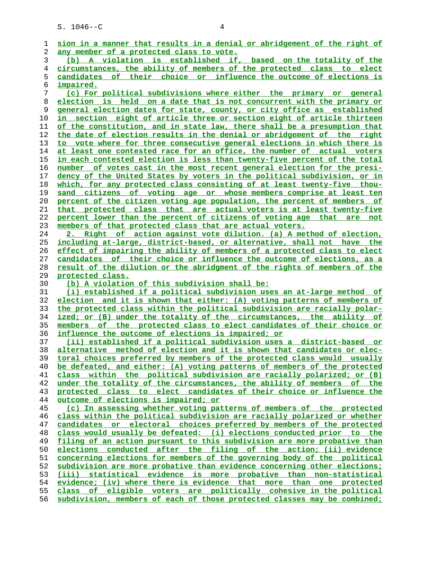|          | sion in a manner that results in a denial or abridgement of the right of                                                                       |
|----------|------------------------------------------------------------------------------------------------------------------------------------------------|
| 2        | any member of a protected class to vote.                                                                                                       |
| 3        | (b) A violation is established if, based on the totality of the                                                                                |
| 4        | circumstances, the ability of members of the protected class to elect                                                                          |
| 5        | candidates of their choice or influence the outcome of elections is                                                                            |
| 6        | <i>impaired.</i>                                                                                                                               |
| 7        | (c) For political subdivisions where either the primary or general                                                                             |
|          |                                                                                                                                                |
| 8        | election is held on a date that is not concurrent with the primary or                                                                          |
| 9        | general election dates for state, county, or city office as established                                                                        |
| 10       | <u>in section eight of article three or section eight of article thirteen</u>                                                                  |
| 11       | of the constitution, and in state law, there shall be a presumption that                                                                       |
| 12       | the date of election results in the denial or abridgement of the right                                                                         |
| 13       | to vote where for three consecutive general elections in which there is                                                                        |
| 14       | at least one contested race for an office, the number of actual voters                                                                         |
| 15       | in each contested election is less than twenty-five percent of the total                                                                       |
| 16       | number of votes cast in the most recent general election for the presi-                                                                        |
| 17       | dency of the United States by voters in the political subdivision, or in                                                                       |
| 18       | which, for any protected class consisting of at least twenty-five thou-                                                                        |
| 19       | sand citizens of voting age or whose members comprise at least ten                                                                             |
| 20       | percent of the citizen voting age population, the percent of members of                                                                        |
| 21       | that protected class that are actual voters is at least twenty-five                                                                            |
| 22       | percent lower than the percent of citizens of voting age that are not                                                                          |
| 23       | members of that protected class that are actual voters.                                                                                        |
| 24       | 2. Right of action against vote dilution. (a) A method of election,                                                                            |
| 25       | including at-large, district-based, or alternative, shall not have the                                                                         |
| 26       | effect of impairing the ability of members of a protected class to elect                                                                       |
| 27       | candidates of their choice or influence the outcome of elections, as a                                                                         |
| 28       | result of the dilution or the abridgment of the rights of members of the                                                                       |
| 29       | protected class.                                                                                                                               |
| 30       | (b) A violation of this subdivision shall be:                                                                                                  |
| 31       | (i) established if a political subdivision uses an at-large method of                                                                          |
| 32       | election and it is shown that either: (A) voting patterns of members of                                                                        |
| 33       | the protected class within the political subdivision are racially polar-                                                                       |
| 34       |                                                                                                                                                |
|          | ized; or (B) under the totality of the circumstances, the ability of                                                                           |
| 35       | members of the protected class to elect candidates of their choice or                                                                          |
| 36       | influence the outcome of elections is impaired; or                                                                                             |
| 37       | <u>(ii) established if a political subdivision uses a district-based or</u>                                                                    |
| 38       | alternative method of election and it is shown that candidates or elec-                                                                        |
| 39       | toral choices preferred by members of the protected class would usually                                                                        |
| 40       | be defeated, and either: (A) voting patterns of members of the protected                                                                       |
| 41       | class within the political subdivision are racially polarized; or (B)                                                                          |
| 42       | under the totality of the circumstances, the ability of members of the                                                                         |
| 43       | protected class to elect candidates of their choice or influence the                                                                           |
| 44       | outcome of elections is impaired; or                                                                                                           |
| 45       | (c) In assessing whether voting patterns of members of the protected                                                                           |
| 46       | class within the political subdivision are racially polarized or whether                                                                       |
| 47       | candidates or electoral choices preferred by members of the protected                                                                          |
| 48       | class would usually be defeated: (i) elections conducted prior to the                                                                          |
| 49       | filing of an action pursuant to this subdivision are more probative than                                                                       |
| 50       | elections conducted after the filing of the action; (ii) evidence                                                                              |
| 51       | concerning elections for members of the governing body of the political                                                                        |
| 52       | subdivision are more probative than evidence concerning other elections;                                                                       |
| 53       | (iii) statistical evidence is more probative than non-statistical                                                                              |
| 54       | evidence; (iv) where there is evidence that more than one protected                                                                            |
| 55<br>56 | class of eligible voters are politically cohesive in the political<br>subdivision, members of each of those protected classes may be combined; |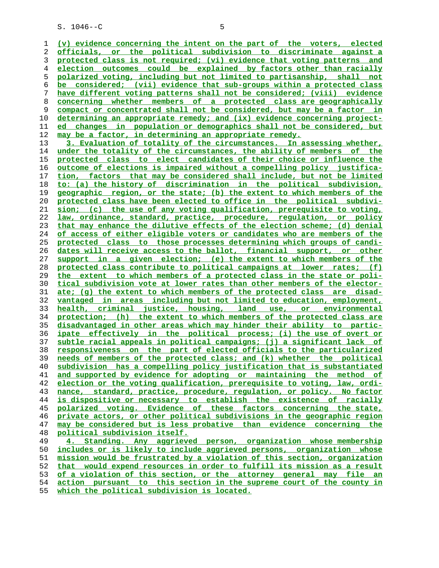$S. 1046 - C$  5

**(v) evidence concerning the intent on the part of the voters, elected officials, or the political subdivision to discriminate against a protected class is not required; (vi) evidence that voting patterns and election outcomes could be explained by factors other than racially polarized voting, including but not limited to partisanship, shall not be considered; (vii) evidence that sub-groups within a protected class have different voting patterns shall not be considered; (viii) evidence concerning whether members of a protected class are geographically compact or concentrated shall not be considered, but may be a factor in determining an appropriate remedy; and (ix) evidence concerning project- ed changes in population or demographics shall not be considered, but may be a factor, in determining an appropriate remedy. 3. Evaluation of totality of the circumstances. In assessing whether, under the totality of the circumstances, the ability of members of the protected class to elect candidates of their choice or influence the outcome of elections is impaired without a compelling policy justifica- tion, factors that may be considered shall include, but not be limited to: (a) the history of discrimination in the political subdivision, geographic region, or the state; (b) the extent to which members of the protected class have been elected to office in the political subdivi- sion; (c) the use of any voting qualification, prerequisite to voting, law, ordinance, standard, practice, procedure, regulation, or policy that may enhance the dilutive effects of the election scheme; (d) denial of access of either eligible voters or candidates who are members of the protected class to those processes determining which groups of candi- dates will receive access to the ballot, financial support, or other support in a given election; (e) the extent to which members of the protected class contribute to political campaigns at lower rates; (f) the extent to which members of a protected class in the state or poli- tical subdivision vote at lower rates than other members of the elector- ate; (g) the extent to which members of the protected class are disad- vantaged in areas including but not limited to education, employment, health, criminal justice, housing, land use, or environmental protection; (h) the extent to which members of the protected class are disadvantaged in other areas which may hinder their ability to partic- ipate effectively in the political process; (i) the use of overt or subtle racial appeals in political campaigns; (j) a significant lack of responsiveness on the part of elected officials to the particularized needs of members of the protected class; and (k) whether the political subdivision has a compelling policy justification that is substantiated and supported by evidence for adopting or maintaining the method of election or the voting qualification, prerequisite to voting, law, ordi- nance, standard, practice, procedure, regulation, or policy. No factor is dispositive or necessary to establish the existence of racially polarized voting. Evidence of these factors concerning the state, private actors, or other political subdivisions in the geographic region may be considered but is less probative than evidence concerning the political subdivision itself. 4. Standing. Any aggrieved person, organization whose membership** includes or is likely to include aggrieved persons, organization whose **mission would be frustrated by a violation of this section, organization**

**action pursuant to this section in the supreme court of the county in**

**that would expend resources in order to fulfill its mission as a result of a violation of this section, or the attorney general may file an**

**which the political subdivision is located.**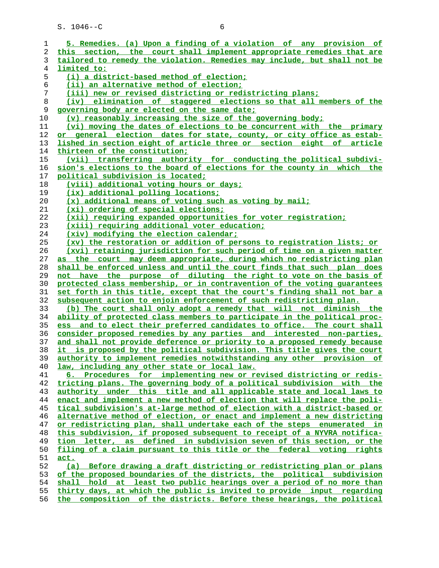| ı  | 5. Remedies. (a) Upon a finding of a violation of any provision of       |
|----|--------------------------------------------------------------------------|
| 2  | this section, the court shall implement appropriate remedies that are    |
| 3  | tailored to remedy the violation. Remedies may include, but shall not be |
| 4  | limited to:                                                              |
| 5  | (i) a district-based method of election;                                 |
| 6  | (ii) an alternative method of election;                                  |
| 7  | (iii) new or revised districting or redistricting plans;                 |
| 8  | (iv) elimination of staggered elections so that all members of the       |
| 9  | governing body are elected on the same date;                             |
| 10 | (v) reasonably increasing the size of the governing body;                |
| 11 | (vi) moving the dates of elections to be concurrent with the primary     |
| 12 | or general election dates for state, county, or city office as estab-    |
| 13 | lished in section eight of article three or section eight of article     |
| 14 | thirteen of the constitution;                                            |
| 15 | (vii) transferring authority for conducting the political subdivi-       |
| 16 | sion's elections to the board of elections for the county in which the   |
| 17 |                                                                          |
|    | political subdivision is located;                                        |
| 18 | (viii) additional voting hours or days;                                  |
| 19 | (ix) additional polling locations;                                       |
| 20 | (x) additional means of voting such as voting by mail;                   |
| 21 | (xi) ordering of special elections;                                      |
| 22 | (xii) requiring expanded opportunities for voter registration;           |
| 23 | (xiii) requiring additional voter education;                             |
| 24 | (xiv) modifying the election calendar;                                   |
| 25 | (xv) the restoration or addition of persons to registration lists; or    |
| 26 | (xvi) retaining jurisdiction for such period of time on a given matter   |
| 27 | as the court may deem appropriate, during which no redistricting plan    |
| 28 | shall be enforced unless and until the court finds that such plan does   |
| 29 | not have the purpose of diluting the right to vote on the basis of       |
| 30 | protected class membership, or in contravention of the voting quarantees |
| 31 | set forth in this title, except that the court's finding shall not bar a |
| 32 | subsequent action to enjoin enforcement of such redistricting plan.      |
| 33 | (b) The court shall only adopt a remedy that will not diminish the       |
| 34 | ability of protected class members to participate in the political proc- |
| 35 | ess and to elect their preferred candidates to office. The court shall   |
| 36 | consider proposed remedies by any parties and interested non-parties,    |
| 37 | and shall not provide deference or priority to a proposed remedy because |
| 38 | it is proposed by the political subdivision. This title gives the court  |
| 39 | authority to implement remedies notwithstanding any other provision of   |
| 40 | law, including any other state or local law.                             |
| 41 | 6. Procedures for implementing new or revised districting or redis-      |
| 42 | tricting plans. The governing body of a political subdivision with the   |
|    |                                                                          |
| 43 | authority under this title and all applicable state and local laws to    |
| 44 | enact and implement a new method of election that will replace the poli- |
| 45 | tical subdivision's at-large method of election with a district-based or |
| 46 | alternative method of election, or enact and implement a new districting |
| 47 | or redistricting plan, shall undertake each of the steps enumerated in   |
| 48 | this subdivision, if proposed subsequent to receipt of a NYVRA notifica- |
| 49 | tion letter, as defined in subdivision seven of this section, or the     |
| 50 | filing of a claim pursuant to this title or the federal voting rights    |
| 51 | act.                                                                     |
| 52 | (a) Before drawing a draft districting or redistricting plan or plans    |
| 53 | of the proposed boundaries of the districts, the political subdivision   |
| 54 | shall hold at least two public hearings over a period of no more than    |
| 55 | thirty days, at which the public is invited to provide input regarding   |
| 56 | the composition of the districts. Before these hearings, the political   |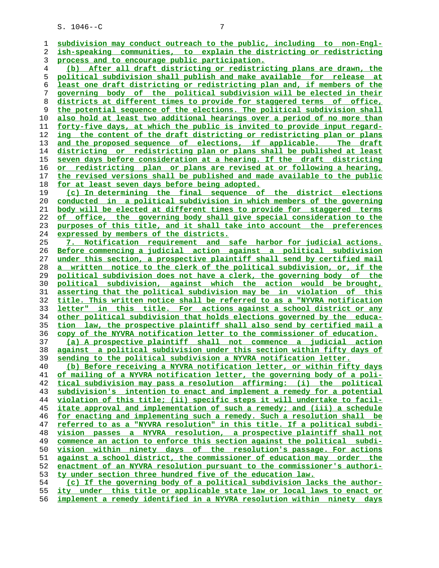| 1        | subdivision may conduct outreach to the public, including to non-Engl-                                                                             |
|----------|----------------------------------------------------------------------------------------------------------------------------------------------------|
| 2        | ish-speaking communities, to explain the districting or redistricting                                                                              |
| 3        | process and to encourage public participation.                                                                                                     |
| 4        | (b) After all draft districting or redistricting plans are drawn, the                                                                              |
| 5        | political subdivision shall publish and make available for release at                                                                              |
| 6        | least one draft districting or redistricting plan and, if members of the                                                                           |
| 7        | governing body of the political subdivision will be elected in their                                                                               |
| 8        | districts at different times to provide for staggered terms of office,                                                                             |
| 9        | the potential sequence of the elections. The political subdivision shall                                                                           |
| 10       | also hold at least two additional hearings over a period of no more than                                                                           |
| 11       | forty-five days, at which the public is invited to provide input regard-                                                                           |
| 12       | ing the content of the draft districting or redistricting plan or plans                                                                            |
| 13       | and the proposed sequence of elections, if applicable. The draft                                                                                   |
| 14       | districting or redistricting plan or plans shall be published at least                                                                             |
| 15       | seven days before consideration at a hearing. If the draft districting                                                                             |
| 16       | or redistricting plan or plans are revised at or following a hearing,                                                                              |
| 17       | the revised versions shall be published and made available to the public                                                                           |
| 18       | for at least seven days before being adopted.                                                                                                      |
| 19       | (c) In determining the final sequence of the district elections                                                                                    |
| 20       | conducted in a political subdivision in which members of the governing                                                                             |
| 21       | body will be elected at different times to provide for staggered terms                                                                             |
| 22       | of office, the governing body shall give special consideration to the                                                                              |
| 23       | purposes of this title, and it shall take into account the preferences                                                                             |
| 24       | expressed by members of the districts.                                                                                                             |
| 25       | 7. Notification requirement and safe harbor for judicial actions.                                                                                  |
| 26       | Before commencing a judicial action against a political subdivision                                                                                |
| 27       | under this section, a prospective plaintiff shall send by certified mail                                                                           |
| 28       | a written notice to the clerk of the political subdivision, or, if the                                                                             |
| 29       | political subdivision does not have a clerk, the governing body of the                                                                             |
| 30       | political subdivision, against which the action would be brought,                                                                                  |
| 31       | asserting that the political subdivision may be in violation of this                                                                               |
| 32       | title. This written notice shall be referred to as a "NYVRA notification                                                                           |
| 33       | letter" in this title. For actions against a school district or any                                                                                |
| 34       | other political subdivision that holds elections governed by the educa-                                                                            |
| 35       | tion law, the prospective plaintiff shall also send by certified mail a                                                                            |
| 36       | copy of the NYVRA notification letter to the commissioner of education.                                                                            |
| 37       | (a) A prospective plaintiff shall not commence a judicial action                                                                                   |
| 38       | against a political subdivision under this section within fifty days of                                                                            |
| 39       | sending to the political subdivision a NYVRA notification letter.                                                                                  |
| 40<br>41 | (b) Before receiving a NYVRA notification letter, or within fifty days<br>of mailing of a NYVRA notification letter, the governing body of a poli- |
| 42       | tical subdivision may pass a resolution affirming: (i) the political                                                                               |
| 43       | subdivision's intention to enact and implement a remedy for a potential                                                                            |
| 44       | violation of this title; (ii) specific steps it will undertake to facil-                                                                           |
| 45       | itate approval and implementation of such a remedy; and (iii) a schedule                                                                           |
| 46       | for enacting and implementing such a remedy. Such a resolution shall be                                                                            |
| 47       | referred to as a "NYVRA resolution" in this title. If a political subdi-                                                                           |
| 48       | vision passes a NYVRA resolution, a prospective plaintiff shall not                                                                                |
| 49       | commence an action to enforce this section against the political subdi-                                                                            |
| 50       | vision within ninety days of the resolution's passage. For actions                                                                                 |
| 51       | against a school district, the commissioner of education may order the                                                                             |
| 52       | enactment of an NYVRA resolution pursuant to the commissioner's authori-                                                                           |
| 53       | ty under section three hundred five of the education law.                                                                                          |
| 54       | (c) If the governing body of a political subdivision lacks the author-                                                                             |
| 55       | ity under this title or applicable state law or local laws to enact or                                                                             |
| 56       | implement a remedy identified in a NYVRA resolution within ninety days                                                                             |
|          |                                                                                                                                                    |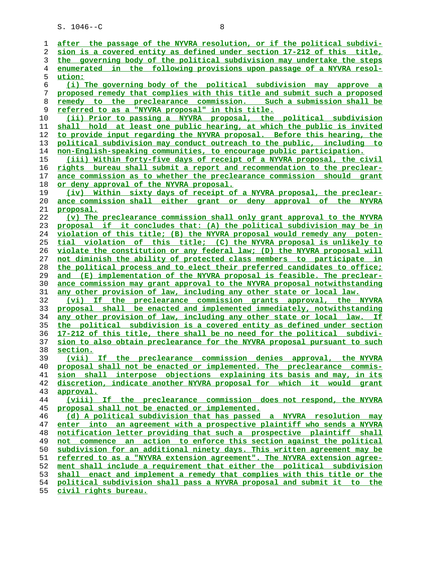| ı        | after the passage of the NYVRA resolution, or if the political subdivi-                                                                            |
|----------|----------------------------------------------------------------------------------------------------------------------------------------------------|
| 2        | sion is a covered entity as defined under section 17-212 of this title,                                                                            |
| 3        | the governing body of the political subdivision may undertake the steps                                                                            |
| 4        | in the following provisions upon passage of a NYVRA resol-<br>enumerated                                                                           |
| 5        | ution:                                                                                                                                             |
| 6        | (i) The governing body of the political subdivision may approve a                                                                                  |
| 7        | proposed remedy that complies with this title and submit such a proposed                                                                           |
| 8        | remedy to the preclearance commission. Such a submission shall be                                                                                  |
| 9        | <u>referred to as a "NYVRA proposal" in this title.</u>                                                                                            |
| 10       | (ii) Prior to passing a NYVRA proposal, the political subdivision                                                                                  |
| 11       | shall hold at least one public hearing, at which the public is invited                                                                             |
| 12       | to provide input regarding the NYVRA proposal. Before this hearing, the                                                                            |
| 13       | political subdivision may conduct outreach to the public, including to                                                                             |
| 14       | non-English-speaking communities, to encourage public participation.                                                                               |
| 15       | (iii) Within forty-five days of receipt of a NYVRA proposal, the civil                                                                             |
| 16       | rights bureau shall submit a report and recommendation to the preclear-                                                                            |
| 17       | ance commission as to whether the preclearance commission should grant                                                                             |
| 18       | or deny approval of the NYVRA proposal.                                                                                                            |
| 19       | (iv) Within sixty days of receipt of a NYVRA proposal, the preclear-                                                                               |
| 20       | ance commission shall either grant or deny approval of the NYVRA                                                                                   |
| 21       | <u>proposal.</u>                                                                                                                                   |
| 22       | (v) The preclearance commission shall only grant approval to the NYVRA                                                                             |
| 23       | proposal if it concludes that: (A) the political subdivision may be in                                                                             |
| 24       | violation of this title; (B) the NYVRA proposal would remedy any poten-                                                                            |
| 25       | tial violation of this title; (C) the NYVRA proposal is unlikely to                                                                                |
| 26       | violate the constitution or any federal law; (D) the NYVRA proposal will                                                                           |
| 27       | not diminish the ability of protected class members to participate in                                                                              |
| 28       | the political process and to elect their preferred candidates to office;                                                                           |
| 29       | and (E) implementation of the NYVRA proposal is feasible. The preclear-                                                                            |
| 30       | ance commission may grant approval to the NYVRA proposal notwithstanding                                                                           |
| 31       | any other provision of law, including any other state or local law.                                                                                |
| 32       | (vi) If the preclearance commission grants approval, the NYVRA                                                                                     |
| 33       | proposal shall be enacted and implemented immediately, notwithstanding                                                                             |
| 34       | any other provision of law, including any other state or local law. If                                                                             |
| 35       | the political subdivision is a covered entity as defined under section                                                                             |
| 36       | 17-212 of this title, there shall be no need for the political subdivi-                                                                            |
| 37       | sion to also obtain preclearance for the NYVRA proposal pursuant to such                                                                           |
| 38       | section.                                                                                                                                           |
| 39       | (vii) If the preclearance commission denies approval, the NYVRA                                                                                    |
| 40       | proposal shall not be enacted or implemented. The preclearance commis-                                                                             |
| 41       | sion shall interpose objections explaining its basis and may, in its                                                                               |
| 42       | discretion, indicate another NYVRA proposal for which it would grant                                                                               |
| 43       | approval.                                                                                                                                          |
| 44       | (viii) If the preclearance commission does not respond, the NYVRA                                                                                  |
| 45       | proposal shall not be enacted or implemented.                                                                                                      |
| 46       | (d) A political subdivision that has passed a NYVRA resolution may                                                                                 |
| 47       | enter into an agreement with a prospective plaintiff who sends a NYVRA                                                                             |
| 48       | notification letter providing that such a prospective plaintiff shall                                                                              |
| 49       | not commence an action to enforce this section against the political                                                                               |
| 50       | subdivision for an additional ninety days. This written agreement may be                                                                           |
| 51       | referred to as a "NYVRA extension agreement". The NYVRA extension agree-<br>ment shall include a requirement that either the political subdivision |
| 52       |                                                                                                                                                    |
| 53       | shall enact and implement a remedy that complies with this title or the<br>political subdivision shall pass a NYVRA proposal and submit it to the  |
| 54<br>55 | civil rights bureau.                                                                                                                               |
|          |                                                                                                                                                    |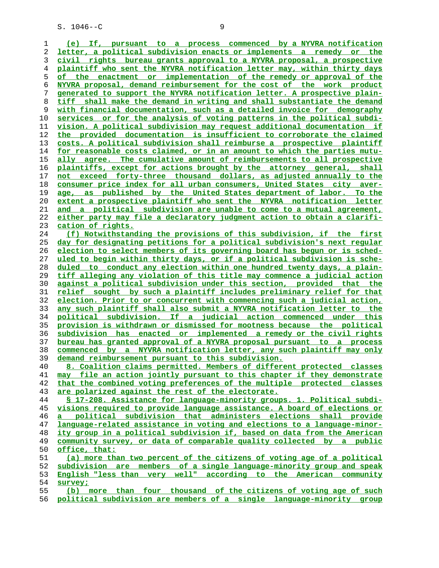**(e) If, pursuant to a process commenced by a NYVRA notification letter, a political subdivision enacts or implements a remedy or the civil rights bureau grants approval to a NYVRA proposal, a prospective plaintiff who sent the NYVRA notification letter may, within thirty days of the enactment or implementation of the remedy or approval of the NYVRA proposal, demand reimbursement for the cost of the work product generated to support the NYVRA notification letter. A prospective plain- tiff shall make the demand in writing and shall substantiate the demand with financial documentation, such as a detailed invoice for demography services or for the analysis of voting patterns in the political subdi- vision. A political subdivision may request additional documentation if the provided documentation is insufficient to corroborate the claimed costs. A political subdivision shall reimburse a prospective plaintiff for reasonable costs claimed, or in an amount to which the parties mutu- ally agree. The cumulative amount of reimbursements to all prospective plaintiffs, except for actions brought by the attorney general, shall not exceed forty-three thousand dollars, as adjusted annually to the consumer price index for all urban consumers, United States city aver- age, as published by the United States department of labor. To the extent a prospective plaintiff who sent the NYVRA notification letter and a political subdivision are unable to come to a mutual agreement, either party may file a declaratory judgment action to obtain a clarifi- cation of rights. (f) Notwithstanding the provisions of this subdivision, if the first day for designating petitions for a political subdivision's next regular election to select members of its governing board has begun or is sched- uled to begin within thirty days, or if a political subdivision is sche- duled to conduct any election within one hundred twenty days, a plain- tiff alleging any violation of this title may commence a judicial action against a political subdivision under this section, provided that the relief sought by such a plaintiff includes preliminary relief for that election. Prior to or concurrent with commencing such a judicial action, any such plaintiff shall also submit a NYVRA notification letter to the political subdivision. If a judicial action commenced under this provision is withdrawn or dismissed for mootness because the political subdivision has enacted or implemented a remedy or the civil rights bureau has granted approval of a NYVRA proposal pursuant to a process commenced by a NYVRA notification letter, any such plaintiff may only demand reimbursement pursuant to this subdivision. 8. Coalition claims permitted. Members of different protected classes may file an action jointly pursuant to this chapter if they demonstrate that the combined voting preferences of the multiple protected classes are polarized against the rest of the electorate. § 17-208. Assistance for language-minority groups. 1. Political subdi- visions required to provide language assistance. A board of elections or a political subdivision that administers elections shall provide language-related assistance in voting and elections to a language-minor- ity group in a political subdivision if, based on data from the American community survey, or data of comparable quality collected by a public office, that: (a) more than two percent of the citizens of voting age of a political subdivision are members of a single language-minority group and speak English "less than very well" according to the American community survey; (b) more than four thousand of the citizens of voting age of such**

**political subdivision are members of a single language-minority group**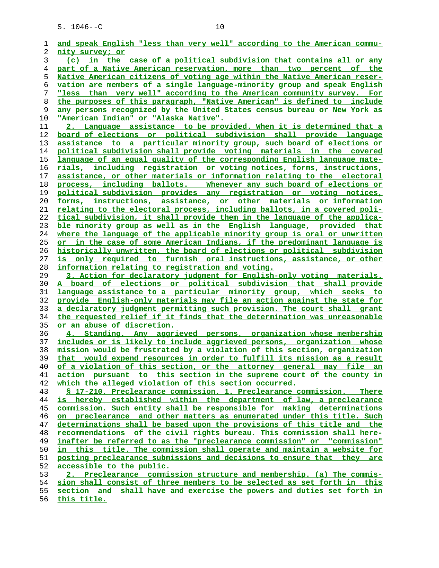| 1  | and speak English "less than very well" according to the American commu-                                                                     |
|----|----------------------------------------------------------------------------------------------------------------------------------------------|
| 2  | nity survey; or                                                                                                                              |
| 3  | (c) in the case of a political subdivision that contains all or any                                                                          |
| 4  | part of a Native American reservation, more than two percent of the                                                                          |
| 5  | Native American citizens of voting age within the Native American reser-                                                                     |
| 6  | vation are members of a single language-minority group and speak English                                                                     |
| 7  | "less than very well" according to the American community survey. For                                                                        |
| 8  | the purposes of this paragraph, "Native American" is defined to include                                                                      |
| 9  | any persons recognized by the United States census bureau or New York as                                                                     |
| 10 | <u> "American Indian" or "Alaska Native".</u>                                                                                                |
| 11 | 2. Language assistance to be provided. When it is determined that a                                                                          |
| 12 |                                                                                                                                              |
|    | board of elections or political subdivision shall provide language                                                                           |
| 13 | assistance to a particular minority group, such board of elections or<br>political subdivision shall provide voting materials in the covered |
| 14 |                                                                                                                                              |
| 15 | language of an equal quality of the corresponding English language mate-                                                                     |
| 16 | rials, including registration or voting notices, forms, instructions,                                                                        |
| 17 | assistance, or other materials or information relating to the electoral                                                                      |
| 18 | process, including ballots. Whenever any such board of elections or                                                                          |
| 19 | political subdivision provides any registration or voting notices,                                                                           |
| 20 | forms, instructions, assistance, or other materials or information                                                                           |
| 21 | relating to the electoral process, including ballots, in a covered poli-                                                                     |
| 22 | tical subdivision, it shall provide them in the language of the applica-                                                                     |
| 23 | ble minority group as well as in the English language, provided that                                                                         |
| 24 | where the language of the applicable minority group is oral or unwritten                                                                     |
| 25 | <u>or in the case of some American Indians, if the predominant language is</u>                                                               |
| 26 | historically unwritten, the board of elections or political subdivision                                                                      |
| 27 | is only required to furnish oral instructions, assistance, or other                                                                          |
| 28 | information relating to registration and voting.                                                                                             |
| 29 | 3. Action for declaratory judgment for English-only voting materials.                                                                        |
| 30 | A board of elections or political subdivision that shall provide                                                                             |
| 31 | language assistance to a particular minority group, which seeks to                                                                           |
| 32 | provide English-only materials may file an action against the state for                                                                      |
| 33 | a declaratory judgment permitting such provision. The court shall grant                                                                      |
| 34 | the requested relief if it finds that the determination was unreasonable                                                                     |
| 35 | <u>or an abuse of discretion.</u>                                                                                                            |
| 36 | 4. Standing. Any aggrieved persons, organization whose membership                                                                            |
| 37 | includes or is likely to include aggrieved persons, organization whose                                                                       |
| 38 | mission would be frustrated by a violation of this section, organization                                                                     |
| 39 | that would expend resources in order to fulfill its mission as a result                                                                      |
| 40 | of a violation of this section, or the attorney general may file an                                                                          |
| 41 | action pursuant to this section in the supreme court of the county in                                                                        |
| 42 | which the alleged violation of this section occurred.                                                                                        |
| 43 | § 17-210. Preclearance commission. 1. Preclearance commission. There                                                                         |
| 44 | is hereby established within the department of law, a preclearance                                                                           |
| 45 | commission. Such entity shall be responsible for making determinations                                                                       |
| 46 | on preclearance and other matters as enumerated under this title. Such                                                                       |
| 47 | determinations shall be based upon the provisions of this title and the                                                                      |
| 48 | recommendations of the civil rights bureau. This commission shall here-                                                                      |
| 49 | inafter be referred to as the "preclearance commission" or "commission"                                                                      |
| 50 | in this title. The commission shall operate and maintain a website for                                                                       |
| 51 | posting preclearance submissions and decisions to ensure that they are                                                                       |
| 52 | accessible to the public.                                                                                                                    |
| 53 | 2. Preclearance commission structure and membership. (a) The commis-                                                                         |
| 54 | sion shall consist of three members to be selected as set forth in this                                                                      |
| 55 | section and shall have and exercise the powers and duties set forth in                                                                       |
|    |                                                                                                                                              |

**this title.**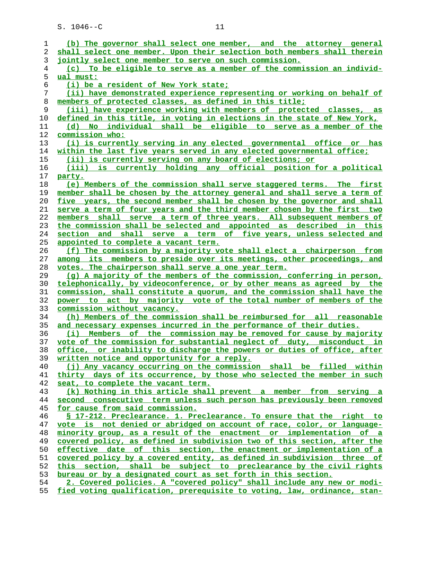| 1  | (b) The governor shall select one member, and the attorney general             |
|----|--------------------------------------------------------------------------------|
| 2  | shall select one member. Upon their selection both members shall therein       |
| 3  | jointly select one member to serve on such commission.                         |
| 4  | (c) To be eligible to serve as a member of the commission an individ-          |
| 5  | ual must:                                                                      |
| 6  | (i) be a resident of New York state;                                           |
| 7  | (ii) have demonstrated experience representing or working on behalf of         |
| 8  | members of protected classes, as defined in this title;                        |
| 9  | (iii) have experience working with members of protected classes, as            |
| 10 | defined in this title, in voting in elections in the state of New York,        |
| 11 | (d) No individual shall be eligible to serve as a member of the                |
| 12 | commission who:                                                                |
| 13 | (i) is currently serving in any elected governmental office or has             |
| 14 | within the last five years served in any elected governmental office;          |
| 15 | (ii) is currently serving on any board of elections; or                        |
| 16 | (iii) is currently holding any official position for a political               |
| 17 | party.                                                                         |
| 18 | (e) Members of the commission shall serve staggered terms. The first           |
| 19 | member shall be chosen by the attorney general and shall serve a term of       |
| 20 | five years, the second member shall be chosen by the governor and shall        |
| 21 | serve a term of four years and the third member chosen by the first two        |
| 22 | members shall serve a term of three years. All subsequent members of           |
| 23 | the commission shall be selected and appointed as described in this            |
| 24 | section and shall serve a term of five years, unless selected and              |
| 25 | appointed to complete a vacant term.                                           |
| 26 | (f) The commission by a majority vote shall elect a chairperson from           |
| 27 | among its members to preside over its meetings, other proceedings, and         |
| 28 | votes. The chairperson shall serve a one year term.                            |
| 29 | (g) A majority of the members of the commission, conferring in person,         |
| 30 | telephonically, by videoconference, or by other means as agreed by the         |
| 31 | commission, shall constitute a quorum, and the commission shall have the       |
| 32 | power to act by majority vote of the total number of members of the            |
| 33 | <u>commission without vacancy.</u>                                             |
| 34 | (h) Members of the commission shall be reimbursed for all reasonable           |
| 35 | and necessary expenses incurred in the performance of their duties.            |
| 36 | (i) Members of the commission may be removed for cause by majority             |
| 37 | vote of the commission for substantial neglect of duty, misconduct in          |
| 38 | <u>office, or inability to discharge the powers or duties of office, after</u> |
| 39 | written notice and opportunity for a reply.                                    |
| 40 | (j) Any vacancy occurring on the commission shall be filled within             |
| 41 | thirty days of its occurrence, by those who selected the member in such        |
| 42 | seat, to complete the vacant term.                                             |
| 43 | (k) Nothing in this article shall prevent a member from serving a              |
| 44 | second consecutive term unless such person has previously been removed         |
| 45 | for cause from said commission.                                                |
| 46 | § 17-212. Preclearance. 1. Preclearance. To ensure that the right to           |
| 47 | vote is not denied or abridged on account of race, color, or language-         |
| 48 | minority group, as a result of the enactment or implementation of a            |
| 49 | covered policy, as defined in subdivision two of this section, after the       |
| 50 | effective date of this section, the enactment or implementation of a           |
| 51 | covered policy by a covered entity, as defined in subdivision three of         |
| 52 | this section, shall be subject to preclearance by the civil rights             |
| 53 | bureau or by a designated court as set forth in this section.                  |
| 54 | 2. Covered policies. A "covered policy" shall include any new or modi-         |
| 55 | fied voting qualification, prerequisite to voting, law, ordinance, stan-       |
|    |                                                                                |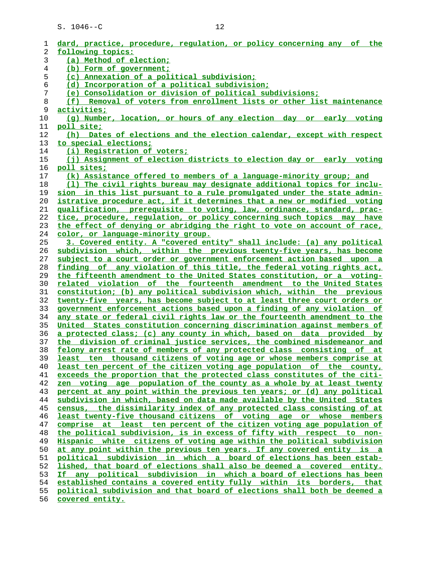| dard, practice, procedure, regulation, or policy concerning any of the<br>1                                                                                   |
|---------------------------------------------------------------------------------------------------------------------------------------------------------------|
| 2<br>following topics:                                                                                                                                        |
| 3<br>(a) Method of election;                                                                                                                                  |
| 4<br>(b) Form of government;                                                                                                                                  |
| 5<br>(c) Annexation of a political subdivision;                                                                                                               |
| (d) Incorporation of a political subdivision:<br>6                                                                                                            |
| 7<br>(e) Consolidation or division of political subdivisions;                                                                                                 |
| 8<br>(f) Removal of voters from enrollment lists or other list maintenance                                                                                    |
| 9<br><u>activities;</u>                                                                                                                                       |
| (q) Number, location, or hours of any election day or early voting<br>10                                                                                      |
| 11<br>poll site;                                                                                                                                              |
| 12<br>(h) Dates of elections and the election calendar, except with respect                                                                                   |
| 13<br>to special elections;                                                                                                                                   |
| 14<br>(i) Registration of voters;                                                                                                                             |
| (j) Assignment of election districts to election day or early voting<br>15                                                                                    |
| 16<br><u>poll sites;</u>                                                                                                                                      |
| (k) Assistance offered to members of a language-minority group; and<br>17                                                                                     |
| (1) The civil rights bureau may designate additional topics for inclu-<br>18                                                                                  |
| 19<br>sion in this list pursuant to a rule promulgated under the state admin-                                                                                 |
| istrative procedure act, if it determines that a new or modified voting<br>20                                                                                 |
| 21<br>qualification, prerequisite to voting, law, ordinance, standard, prac-                                                                                  |
| tice, procedure, regulation, or policy concerning such topics may have<br>22                                                                                  |
| 23<br>the effect of denying or abridging the right to vote on account of race,                                                                                |
| 24<br>color, or language-minority group.                                                                                                                      |
| 3. Covered entity. A "covered entity" shall include: (a) any political<br>25                                                                                  |
| 26<br>subdivision which, within the previous twenty-five years, has become                                                                                    |
| subject to a court order or government enforcement action based upon a<br>27                                                                                  |
| finding of any violation of this title, the federal voting rights act,<br>28                                                                                  |
| 29<br>the fifteenth amendment to the United States constitution, or a voting-                                                                                 |
| related violation of the fourteenth amendment to the United States<br>30                                                                                      |
| 31<br>constitution; (b) any political subdivision which, within the previous                                                                                  |
| 32<br>twenty-five years, has become subject to at least three court orders or                                                                                 |
| government enforcement actions based upon a finding of any violation of<br>33                                                                                 |
| any state or federal civil rights law or the fourteenth amendment to the<br>34                                                                                |
| 35<br>United States constitution concerning discrimination against members of                                                                                 |
| 36<br>a protected class; (c) any county in which, based on data provided by                                                                                   |
| 37<br>the division of criminal justice services, the combined misdemeanor and                                                                                 |
| 38<br><u>felony arrest rate of members of any protected class consisting of at</u><br>39                                                                      |
| least ten thousand citizens of voting age or whose members comprise at                                                                                        |
| 40<br>least ten percent of the citizen voting age population of the county,<br>41<br>exceeds the proportion that the protected class constitutes of the citi- |
| 42<br>zen voting age population of the county as a whole by at least twenty                                                                                   |
| 43<br>percent at any point within the previous ten years; or (d) any political                                                                                |
| 44<br>subdivision in which, based on data made available by the United States                                                                                 |
| 45<br>census, the dissimilarity index of any protected class consisting of at                                                                                 |
| least twenty-five thousand citizens of voting age or whose members<br>46                                                                                      |
| comprise at least ten percent of the citizen voting age population of<br>47                                                                                   |
| the political subdivision, is in excess of fifty with respect to non-<br>48                                                                                   |
| 49<br>Hispanic white citizens of voting age within the political subdivision                                                                                  |
| 50<br>at any point within the previous ten years. If any covered entity is a                                                                                  |
| 51<br>political subdivision in which a board of elections has been estab-                                                                                     |
| 52<br>lished, that board of elections shall also be deemed a covered entity.                                                                                  |
| any political subdivision in which a board of elections has been<br>53<br>Ιf                                                                                  |
| established contains a covered entity fully within its borders, that<br>54                                                                                    |
| political subdivision and that board of elections shall both be deemed a<br>55                                                                                |
|                                                                                                                                                               |
|                                                                                                                                                               |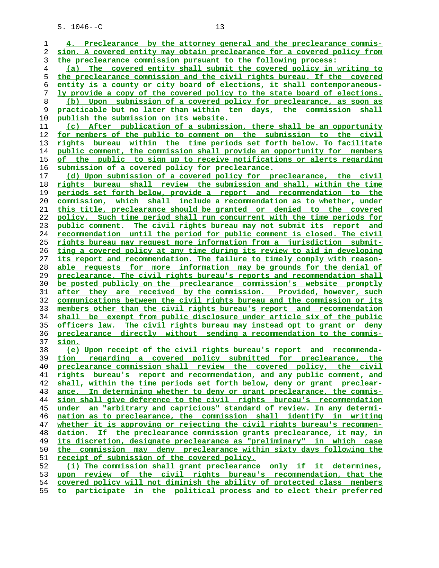**4. Preclearance by the attorney general and the preclearance commis- sion. A covered entity may obtain preclearance for a covered policy from the preclearance commission pursuant to the following process: (a) The covered entity shall submit the covered policy in writing to the preclearance commission and the civil rights bureau. If the covered entity is a county or city board of elections, it shall contemporaneous- ly provide a copy of the covered policy to the state board of elections. (b) Upon submission of a covered policy for preclearance, as soon as practicable but no later than within ten days, the commission shall publish the submission on its website. (c) After publication of a submission, there shall be an opportunity for members of the public to comment on the submission to the civil rights bureau within the time periods set forth below. To facilitate public comment, the commission shall provide an opportunity for members of the public to sign up to receive notifications or alerts regarding submission of a covered policy for preclearance. (d) Upon submission of a covered policy for preclearance, the civil rights bureau shall review the submission and shall, within the time periods set forth below, provide a report and recommendation to the commission, which shall include a recommendation as to whether, under this title, preclearance should be granted or denied to the covered policy. Such time period shall run concurrent with the time periods for public comment. The civil rights bureau may not submit its report and recommendation until the period for public comment is closed. The civil rights bureau may request more information from a jurisdiction submit- ting a covered policy at any time during its review to aid in developing its report and recommendation. The failure to timely comply with reason- able requests for more information may be grounds for the denial of preclearance. The civil rights bureau's reports and recommendation shall be posted publicly on the preclearance commission's website promptly after they are received by the commission. Provided, however, such communications between the civil rights bureau and the commission or its members other than the civil rights bureau's report and recommendation shall be exempt from public disclosure under article six of the public officers law. The civil rights bureau may instead opt to grant or deny preclearance directly without sending a recommendation to the commis- sion. (e) Upon receipt of the civil rights bureau's report and recommenda- tion regarding a covered policy submitted for preclearance, the preclearance commission shall review the covered policy, the civil rights bureau's report and recommendation, and any public comment, and shall, within the time periods set forth below, deny or grant preclear- ance. In determining whether to deny or grant preclearance, the commis- sion shall give deference to the civil rights bureau's recommendation under an "arbitrary and capricious" standard of review. In any determi- nation as to preclearance, the commission shall identify in writing whether it is approving or rejecting the civil rights bureau's recommen- dation. If the preclearance commission grants preclearance, it may, in its discretion, designate preclearance as "preliminary" in which case the commission may deny preclearance within sixty days following the receipt of submission of the covered policy. (i) The commission shall grant preclearance only if it determines, upon review of the civil rights bureau's recommendation, that the covered policy will not diminish the ability of protected class members to participate in the political process and to elect their preferred**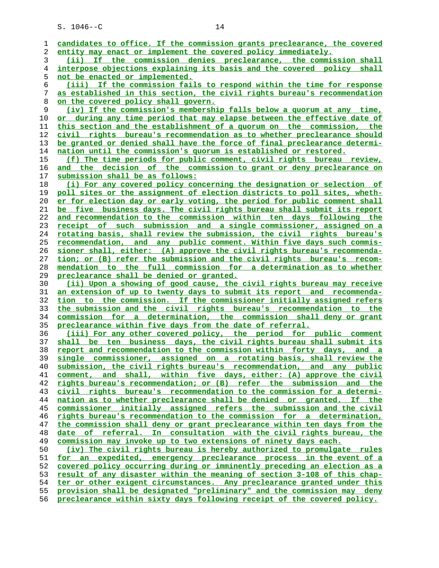| 1              | candidates to office. If the commission grants preclearance, the covered |
|----------------|--------------------------------------------------------------------------|
| 2              | entity may enact or implement the covered policy immediately.            |
| 3              | If the commission denies preclearance, the commission shall<br>(iii)     |
| $\overline{4}$ | interpose objections explaining its basis and the covered policy shall   |
| 5              | not be enacted or implemented.                                           |
| б              | (iii) If the commission fails to respond within the time for response    |
| 7              | as established in this section, the civil rights bureau's recommendation |
| 8              | on the covered policy shall govern.                                      |
| 9              | (iv) If the commission's membership falls below a quorum at any time,    |
| 10             | or during any time period that may elapse between the effective date of  |
|                | this section and the establishment of a quorum on the commission, the    |
| 11             |                                                                          |
| 12             | civil rights bureau's recommendation as to whether preclearance should   |
| 13             | be granted or denied shall have the force of final preclearance determi- |
| 14             | nation until the commission's quorum is established or restored.         |
| 15             | (f) The time periods for public comment, civil rights bureau review,     |
| 16             | and the decision of the commission to grant or deny preclearance on      |
| 17             | submission shall be as follows:                                          |
| 18             | (i) For any covered policy concerning the designation or selection of    |
| 19             | poll sites or the assignment of election districts to poll sites, wheth- |
| 20             | er for election day or early voting, the period for public comment shall |
| 21             | be five business days. The civil rights bureau shall submit its report   |
| 22             | and recommendation to the commission within ten days following the       |
| 23             | receipt of such submission and a single commissioner, assigned on a      |
| 24             | rotating basis, shall review the submission, the civil rights bureau's   |
| 25             | recommendation, and any public comment. Within five days such commis-    |
| 26             | sioner shall, either: (A) approve the civil rights bureau's recommenda-  |
| 27             | tion; or (B) refer the submission and the civil rights bureau's recom-   |
| 28             | mendation to the full commission for a determination as to whether       |
| 29             | preclearance shall be denied or granted.                                 |
| 30             | (ii) Upon a showing of good cause, the civil rights bureau may receive   |
| 31             | an extension of up to twenty days to submit its report and recommenda-   |
| 32             | tion to the commission. If the commissioner initially assigned refers    |
| 33             | the submission and the civil rights bureau's recommendation to the       |
| 34             | commission for a determination, the commission shall deny or grant       |
| 35             | preclearance within five days from the date of referral.                 |
| 36             | (iii) For any other covered policy, the period for public comment        |
| 37             | shall be ten business days, the civil rights bureau shall submit its     |
| 38             | report and recommendation to the commission within forty days, and a     |
| 39             | commissioner, assigned on a rotating basis, shall review the<br>single   |
| 40             | submission, the civil rights bureau's recommendation, and any public     |
| 41             | comment, and shall, within five days, either: (A) approve the civil      |
| 42             | rights bureau's recommendation; or (B) refer the submission and the      |
|                | civil rights bureau's recommendation to the commission for a determi-    |
| 43             |                                                                          |
| 44             | nation as to whether preclearance shall be denied or granted. If the     |
| 45             | commissioner initially assigned refers the submission and the civil      |
| 46             | rights bureau's recommendation to the commission for a determination,    |
| 47             | the commission shall deny or grant preclearance within ten days from the |
| 48             | date of referral. In consultation with the civil rights bureau, the      |
| 49             | commission may invoke up to two extensions of ninety days each.          |
| 50             | (iv) The civil rights bureau is hereby authorized to promulgate rules    |
| 51             | for an expedited, emergency preclearance process in the event of a       |
| 52             | covered policy occurring during or imminently preceding an election as a |
| 53             | result of any disaster within the meaning of section 3-108 of this chap- |
| 54             | ter or other exigent circumstances. Any preclearance granted under this  |
| 55             | provision shall be designated "preliminary" and the commission may deny  |
| 56             | preclearance within sixty days following receipt of the covered policy.  |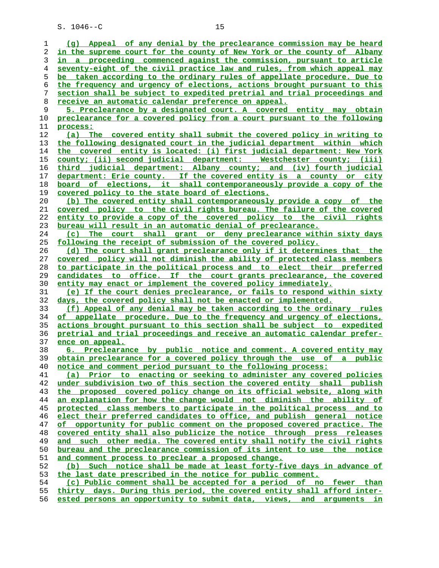| 1  | (q) Appeal of any denial by the preclearance commission may be heard     |
|----|--------------------------------------------------------------------------|
| 2  | in the supreme court for the county of New York or the county of Albany  |
| 3  | in a proceeding commenced against the commission, pursuant to article    |
| 4  | seventy-eight of the civil practice law and rules, from which appeal may |
| 5  | be taken according to the ordinary rules of appellate procedure. Due to  |
| 6  | the frequency and urgency of elections, actions brought pursuant to this |
| 7  | section shall be subject to expedited pretrial and trial proceedings and |
|    |                                                                          |
| 8  | <u>receive an automatic calendar preference on appeal.</u>               |
| 9  | 5. Preclearance by a designated court. A covered entity may obtain       |
| 10 | preclearance for a covered policy from a court pursuant to the following |
| 11 | process:                                                                 |
| 12 | (a) The covered entity shall submit the covered policy in writing to     |
| 13 | the following designated court in the judicial department within which   |
| 14 | the covered entity is located: (i) first judicial department: New York   |
|    |                                                                          |
| 15 | county; (ii) second judicial department: Westchester county; (iii)       |
| 16 | third judicial department: Albany county; and (iv) fourth judicial       |
| 17 | department: Erie county. If the covered entity is a county or city       |
| 18 | board of elections, it shall contemporaneously provide a copy of the     |
| 19 | covered policy to the state board of elections.                          |
| 20 | (b) The covered entity shall contemporaneously provide a copy of the     |
| 21 | covered policy to the civil rights bureau. The failure of the covered    |
| 22 | entity to provide a copy of the covered policy to the civil rights       |
|    |                                                                          |
| 23 | bureau will result in an automatic denial of preclearance.               |
| 24 | The court shall grant or deny preclearance within sixty days<br>(c)      |
| 25 | following the receipt of submission of the covered policy.               |
| 26 | (d) The court shall grant preclearance only if it determines that the    |
| 27 | covered policy will not diminish the ability of protected class members  |
| 28 | to participate in the political process and to elect their preferred     |
| 29 | candidates to office. If the court grants preclearance, the covered      |
| 30 | entity may enact or implement the covered policy immediately.            |
|    |                                                                          |
| 31 | (e) If the court denies preclearance, or fails to respond within sixty   |
| 32 | days, the covered policy shall not be enacted or implemented.            |
| 33 | (f) Appeal of any denial may be taken according to the ordinary rules    |
| 34 | of appellate procedure. Due to the frequency and urgency of elections,   |
| 35 | actions brought pursuant to this section shall be subject to expedited   |
| 36 | pretrial and trial proceedings and receive an automatic calendar prefer- |
| 37 | ence on appeal.                                                          |
| 38 | 6. Preclearance by public notice and comment. A covered entity may       |
| 39 | obtain preclearance for a covered policy through the use of a public     |
|    |                                                                          |
| 40 | notice and comment period pursuant to the following process:             |
| 41 | (a) Prior to enacting or seeking to administer any covered policies      |
| 42 | under subdivision two of this section the covered entity shall publish   |
| 43 | the proposed covered policy change on its official website, along with   |
| 44 | an explanation for how the change would not diminish the ability of      |
| 45 | protected class members to participate in the political process and to   |
| 46 | elect their preferred candidates to office, and publish general notice   |
| 47 | of opportunity for public comment on the proposed covered practice. The  |
| 48 | covered entity shall also publicize the notice through press releases    |
| 49 |                                                                          |
|    | and such other media. The covered entity shall notify the civil rights   |
| 50 | bureau and the preclearance commission of its intent to use the notice   |
| 51 | and comment process to preclear a proposed change.                       |
| 52 | (b) Such notice shall be made at least forty-five days in advance of     |
| 53 | the last date prescribed in the notice for public comment.               |
| 54 | (c) Public comment shall be accepted for a period of no fewer than       |
| 55 | thirty days. During this period, the covered entity shall afford inter-  |
| 56 | ested persons an opportunity to submit data, views, and arguments in     |
|    |                                                                          |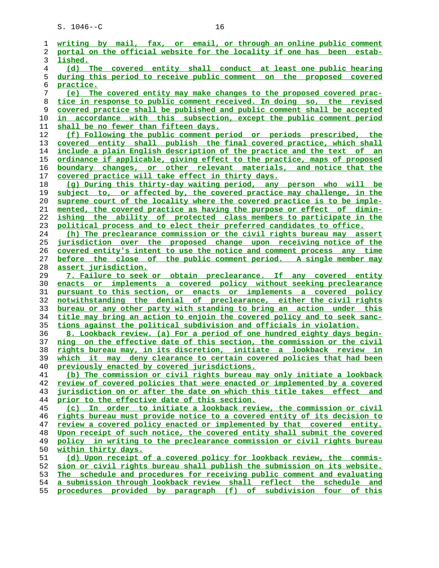**writing by mail, fax, or email, or through an online public comment portal on the official website for the locality if one has been estab- lished. (d) The covered entity shall conduct at least one public hearing during this period to receive public comment on the proposed covered practice. (e) The covered entity may make changes to the proposed covered prac- tice in response to public comment received. In doing so, the revised covered practice shall be published and public comment shall be accepted in accordance with this subsection, except the public comment period shall be no fewer than fifteen days. (f) Following the public comment period or periods prescribed, the covered entity shall publish the final covered practice, which shall include a plain English description of the practice and the text of an ordinance if applicable, giving effect to the practice, maps of proposed boundary changes, or other relevant materials, and notice that the covered practice will take effect in thirty days. (g) During this thirty-day waiting period, any person who will be subject to, or affected by, the covered practice may challenge, in the supreme court of the locality where the covered practice is to be imple- mented, the covered practice as having the purpose or effect of dimin- ishing the ability of protected class members to participate in the political process and to elect their preferred candidates to office. (h) The preclearance commission or the civil rights bureau may assert jurisdiction over the proposed change upon receiving notice of the covered entity's intent to use the notice and comment process any time before the close of the public comment period. A single member may assert jurisdiction. 7. Failure to seek or obtain preclearance. If any covered entity enacts or implements a covered policy without seeking preclearance pursuant to this section, or enacts or implements a covered policy notwithstanding the denial of preclearance, either the civil rights bureau or any other party with standing to bring an action under this title may bring an action to enjoin the covered policy and to seek sanc- tions against the political subdivision and officials in violation. 8. Lookback review. (a) For a period of one hundred eighty days begin- ning on the effective date of this section, the commission or the civil rights bureau may, in its discretion, initiate a lookback review in which it may deny clearance to certain covered policies that had been previously enacted by covered jurisdictions. (b) The commission or civil rights bureau may only initiate a lookback review of covered policies that were enacted or implemented by a covered jurisdiction on or after the date on which this title takes effect and prior to the effective date of this section. (c) In order to initiate a lookback review, the commission or civil rights bureau must provide notice to a covered entity of its decision to review a covered policy enacted or implemented by that covered entity. Upon receipt of such notice, the covered entity shall submit the covered policy in writing to the preclearance commission or civil rights bureau within thirty days. (d) Upon receipt of a covered policy for lookback review, the commis- sion or civil rights bureau shall publish the submission on its website. The schedule and procedures for receiving public comment and evaluating a submission through lookback review shall reflect the schedule and procedures provided by paragraph (f) of subdivision four of this**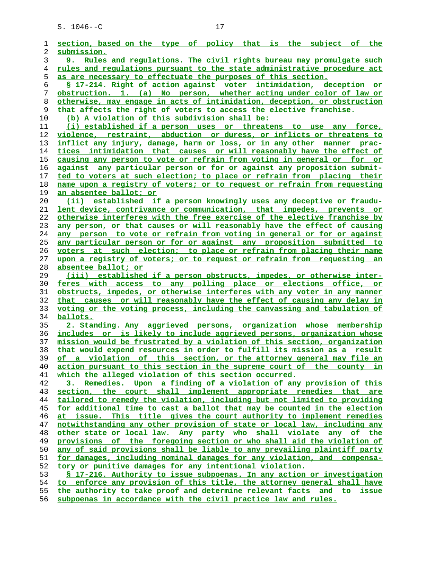| ı  | section, based on the type of policy that is the subject of the          |
|----|--------------------------------------------------------------------------|
| 2  | submission.                                                              |
| 3  | 9. Rules and requlations. The civil rights bureau may promulgate such    |
| 4  | rules and regulations pursuant to the state administrative procedure act |
| 5  | as are necessary to effectuate the purposes of this section.             |
| 6  | § 17-214. Right of action against voter intimidation, deception or       |
| 7  | obstruction. 1. (a) No person, whether acting under color of law or      |
| 8  | otherwise, may engage in acts of intimidation, deception, or obstruction |
| 9  | that affects the right of voters to access the elective franchise.       |
| 10 | (b) A violation of this subdivision shall be:                            |
| 11 | (i) established if a person uses or threatens to use any force,          |
| 12 | violence, restraint, abduction or duress, or inflicts or threatens to    |
| 13 | inflict any injury, damage, harm or loss, or in any other manner prac-   |
| 14 | tices intimidation that causes or will reasonably have the effect of     |
| 15 | causing any person to vote or refrain from voting in general or for or   |
| 16 | against any particular person or for or against any proposition submit-  |
| 17 | ted to voters at such election; to place or refrain from placing their   |
| 18 | name upon a registry of voters; or to request or refrain from requesting |
| 19 | an absentee ballot; or                                                   |
| 20 | (ii) established if a person knowingly uses any deceptive or fraudu-     |
| 21 | lent device, contrivance or communication, that impedes, prevents or     |
| 22 | otherwise interferes with the free exercise of the elective franchise by |
| 23 | any person, or that causes or will reasonably have the effect of causing |
| 24 | any person to vote or refrain from voting in general or for or against   |
| 25 | any particular person or for or against any proposition submitted to     |
| 26 | voters at such election; to place or refrain from placing their name     |
| 27 | upon a registry of voters; or to request or refrain from requesting an   |
| 28 | absentee ballot; or                                                      |
| 29 | (iii) established if a person obstructs, impedes, or otherwise inter-    |
| 30 | feres with access to any polling place or elections office, or           |
| 31 | obstructs, impedes, or otherwise interferes with any voter in any manner |
| 32 | that causes or will reasonably have the effect of causing any delay in   |
| 33 | voting or the voting process, including the canvassing and tabulation of |
| 34 | <u>ballots.</u>                                                          |
| 35 | 2. Standing. Any aggrieved persons, organization whose membership        |
| 36 | includes or is likely to include aggrieved persons, organization whose   |
| 37 | mission would be frustrated by a violation of this section, organization |
| 38 | that would expend resources in order to fulfill its mission as a result  |
| 39 | of a violation of this section, or the attorney general may file an      |
| 40 | action pursuant to this section in the supreme court of the county in    |
| 41 | which the alleged violation of this section occurred.                    |
| 42 | 3. Remedies. Upon a finding of a violation of any provision of this      |
| 43 | section, the court shall implement appropriate remedies that are         |
| 44 | tailored to remedy the violation, including but not limited to providing |
| 45 | for additional time to cast a ballot that may be counted in the election |
| 46 | at issue. This title gives the court authority to implement remedies     |
| 47 | notwithstanding any other provision of state or local law, including any |
| 48 | other state or local law. Any party who shall violate any of the         |
| 49 | provisions of the foregoing section or who shall aid the violation of    |
| 50 | any of said provisions shall be liable to any prevailing plaintiff party |
| 51 | for damages, including nominal damages for any violation, and compensa-  |
| 52 | tory or punitive damages for any intentional violation.                  |
| 53 | \$ 17-216. Authority to issue subpoenas. In any action or investigation  |
| 54 | to enforce any provision of this title, the attorney general shall have  |
| 55 | the authority to take proof and determine relevant facts and to issue    |
|    |                                                                          |

**subpoenas in accordance with the civil practice law and rules.**